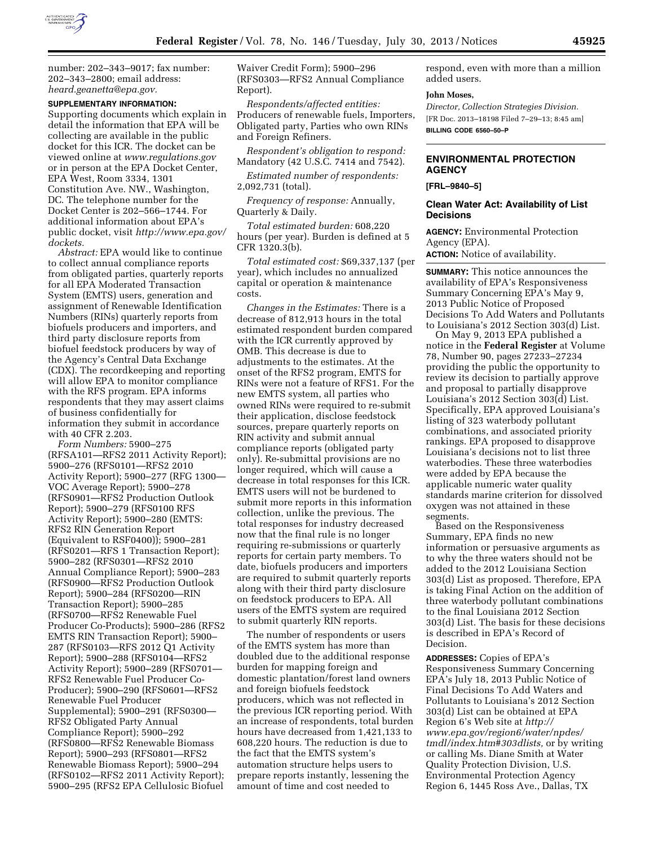

number: 202–343–9017; fax number: 202–343–2800; email address: *[heard.geanetta@epa.gov.](mailto:heard.geanetta@epa.gov)* 

**SUPPLEMENTARY INFORMATION:** 

Supporting documents which explain in detail the information that EPA will be collecting are available in the public docket for this ICR. The docket can be viewed online at *[www.regulations.gov](http://www.regulations.gov)*  or in person at the EPA Docket Center, EPA West, Room 3334, 1301 Constitution Ave. NW., Washington, DC. The telephone number for the Docket Center is 202–566–1744. For additional information about EPA's public docket, visit *[http://www.epa.gov/](http://www.epa.gov/dockets)  [dockets.](http://www.epa.gov/dockets)* 

*Abstract:* EPA would like to continue to collect annual compliance reports from obligated parties, quarterly reports for all EPA Moderated Transaction System (EMTS) users, generation and assignment of Renewable Identification Numbers (RINs) quarterly reports from biofuels producers and importers, and third party disclosure reports from biofuel feedstock producers by way of the Agency's Central Data Exchange (CDX). The recordkeeping and reporting will allow EPA to monitor compliance with the RFS program. EPA informs respondents that they may assert claims of business confidentially for information they submit in accordance with 40 CFR 2.203.

*Form Numbers:* 5900–275 (RFSA101—RFS2 2011 Activity Report); 5900–276 (RFS0101—RFS2 2010 Activity Report); 5900–277 (RFG 1300— VOC Average Report); 5900–278 (RFS0901—RFS2 Production Outlook Report); 5900–279 (RFS0100 RFS Activity Report); 5900–280 (EMTS: RFS2 RIN Generation Report (Equivalent to RSF0400)); 5900–281 (RFS0201—RFS 1 Transaction Report); 5900–282 (RFS0301—RFS2 2010 Annual Compliance Report); 5900–283 (RFS0900—RFS2 Production Outlook Report); 5900–284 (RFS0200—RIN Transaction Report); 5900–285 (RFS0700—RFS2 Renewable Fuel Producer Co-Products); 5900–286 (RFS2 EMTS RIN Transaction Report); 5900– 287 (RFS0103—RFS 2012 Q1 Activity Report); 5900–288 (RFS0104—RFS2 Activity Report); 5900–289 (RFS0701— RFS2 Renewable Fuel Producer Co-Producer); 5900–290 (RFS0601—RFS2 Renewable Fuel Producer Supplemental); 5900–291 (RFS0300— RFS2 Obligated Party Annual Compliance Report); 5900–292 (RFS0800—RFS2 Renewable Biomass Report); 5900–293 (RFS0801—RFS2 Renewable Biomass Report); 5900–294 (RFS0102—RFS2 2011 Activity Report); 5900–295 (RFS2 EPA Cellulosic Biofuel

Waiver Credit Form); 5900–296 (RFS0303—RFS2 Annual Compliance Report).

*Respondents/affected entities:*  Producers of renewable fuels, Importers, Obligated party, Parties who own RINs and Foreign Refiners.

*Respondent's obligation to respond:*  Mandatory (42 U.S.C. 7414 and 7542).

*Estimated number of respondents:*  2,092,731 (total).

*Frequency of response:* Annually, Quarterly & Daily.

*Total estimated burden:* 608,220 hours (per year). Burden is defined at 5 CFR 1320.3(b).

*Total estimated cost:* \$69,337,137 (per year), which includes no annualized capital or operation & maintenance costs.

*Changes in the Estimates:* There is a decrease of 812,913 hours in the total estimated respondent burden compared with the ICR currently approved by OMB. This decrease is due to adjustments to the estimates. At the onset of the RFS2 program, EMTS for RINs were not a feature of RFS1. For the new EMTS system, all parties who owned RINs were required to re-submit their application, disclose feedstock sources, prepare quarterly reports on RIN activity and submit annual compliance reports (obligated party only). Re-submittal provisions are no longer required, which will cause a decrease in total responses for this ICR. EMTS users will not be burdened to submit more reports in this information collection, unlike the previous. The total responses for industry decreased now that the final rule is no longer requiring re-submissions or quarterly reports for certain party members. To date, biofuels producers and importers are required to submit quarterly reports along with their third party disclosure on feedstock producers to EPA. All users of the EMTS system are required to submit quarterly RIN reports.

The number of respondents or users of the EMTS system has more than doubled due to the additional response burden for mapping foreign and domestic plantation/forest land owners and foreign biofuels feedstock producers, which was not reflected in the previous ICR reporting period. With an increase of respondents, total burden hours have decreased from 1,421,133 to 608,220 hours. The reduction is due to the fact that the EMTS system's automation structure helps users to prepare reports instantly, lessening the amount of time and cost needed to

respond, even with more than a million added users.

#### **John Moses,**

*Director, Collection Strategies Division.*  [FR Doc. 2013–18198 Filed 7–29–13; 8:45 am] **BILLING CODE 6560–50–P** 

# **ENVIRONMENTAL PROTECTION AGENCY**

**[FRL–9840–5]** 

#### **Clean Water Act: Availability of List Decisions**

**AGENCY:** Environmental Protection Agency (EPA). **ACTION:** Notice of availability.

**SUMMARY:** This notice announces the availability of EPA's Responsiveness Summary Concerning EPA's May 9, 2013 Public Notice of Proposed Decisions To Add Waters and Pollutants to Louisiana's 2012 Section 303(d) List.

On May 9, 2013 EPA published a notice in the **Federal Register** at Volume 78, Number 90, pages 27233–27234 providing the public the opportunity to review its decision to partially approve and proposal to partially disapprove Louisiana's 2012 Section 303(d) List. Specifically, EPA approved Louisiana's listing of 323 waterbody pollutant combinations, and associated priority rankings. EPA proposed to disapprove Louisiana's decisions not to list three waterbodies. These three waterbodies were added by EPA because the applicable numeric water quality standards marine criterion for dissolved oxygen was not attained in these segments.

Based on the Responsiveness Summary, EPA finds no new information or persuasive arguments as to why the three waters should not be added to the 2012 Louisiana Section 303(d) List as proposed. Therefore, EPA is taking Final Action on the addition of three waterbody pollutant combinations to the final Louisiana 2012 Section 303(d) List. The basis for these decisions is described in EPA's Record of Decision.

**ADDRESSES:** Copies of EPA's Responsiveness Summary Concerning EPA's July 18, 2013 Public Notice of Final Decisions To Add Waters and Pollutants to Louisiana's 2012 Section 303(d) List can be obtained at EPA Region 6's Web site at *[http://](http://www.epa.gov/region6/water/npdes/tmdl/index.htm#303dlists) [www.epa.gov/region6/water/npdes/](http://www.epa.gov/region6/water/npdes/tmdl/index.htm#303dlists) [tmdl/index.htm#303dlists,](http://www.epa.gov/region6/water/npdes/tmdl/index.htm#303dlists)* or by writing or calling Ms. Diane Smith at Water Quality Protection Division, U.S. Environmental Protection Agency Region 6, 1445 Ross Ave., Dallas, TX